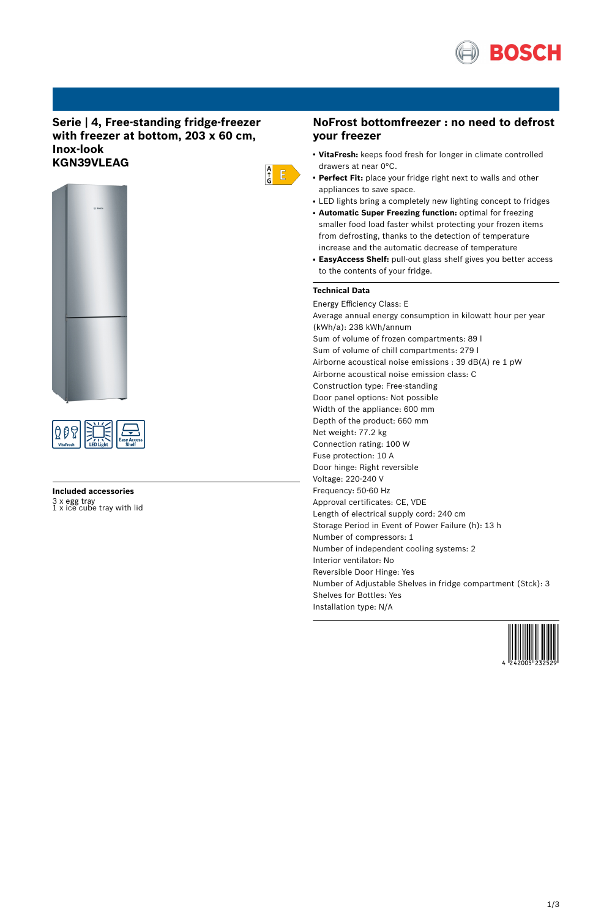

## **Serie | 4, Free-standing fridge-freezer with freezer at bottom, 203 x 60 cm, Inox-look KGN39VLEAG**





# **Included accessories** 3 x egg tray 1 x ice cube tray with lid

### **NoFrost bottomfreezer : no need to defrost your freezer**

- **VitaFresh:** keeps food fresh for longer in climate controlled drawers at near 0°C.
- Perfect Fit: place your fridge right next to walls and other appliances to save space.
- LED lights bring a completely new lighting concept to fridges
- **Automatic Super Freezing function:** optimal for freezing smaller food load faster whilst protecting your frozen items from defrosting, thanks to the detection of temperature increase and the automatic decrease of temperature
- **EasyAccess Shelf:** pull-out glass shelf gives you better access to the contents of your fridge.

### **Technical Data**

 $\frac{A}{G}$   $E$ 

Energy Efficiency Class: E Average annual energy consumption in kilowatt hour per year (kWh/a): 238 kWh/annum Sum of volume of frozen compartments: 89 l Sum of volume of chill compartments: 279 l Airborne acoustical noise emissions : 39 dB(A) re 1 pW Airborne acoustical noise emission class: C Construction type: Free-standing Door panel options: Not possible Width of the appliance: 600 mm Depth of the product: 660 mm Net weight: 77.2 kg Connection rating: 100 W Fuse protection: 10 A Door hinge: Right reversible Voltage: 220-240 V Frequency: 50-60 Hz Approval certificates: CE, VDE Length of electrical supply cord: 240 cm Storage Period in Event of Power Failure (h): 13 h Number of compressors: 1 Number of independent cooling systems: 2 Interior ventilator: No Reversible Door Hinge: Yes Number of Adjustable Shelves in fridge compartment (Stck): 3 Shelves for Bottles: Yes Installation type: N/A

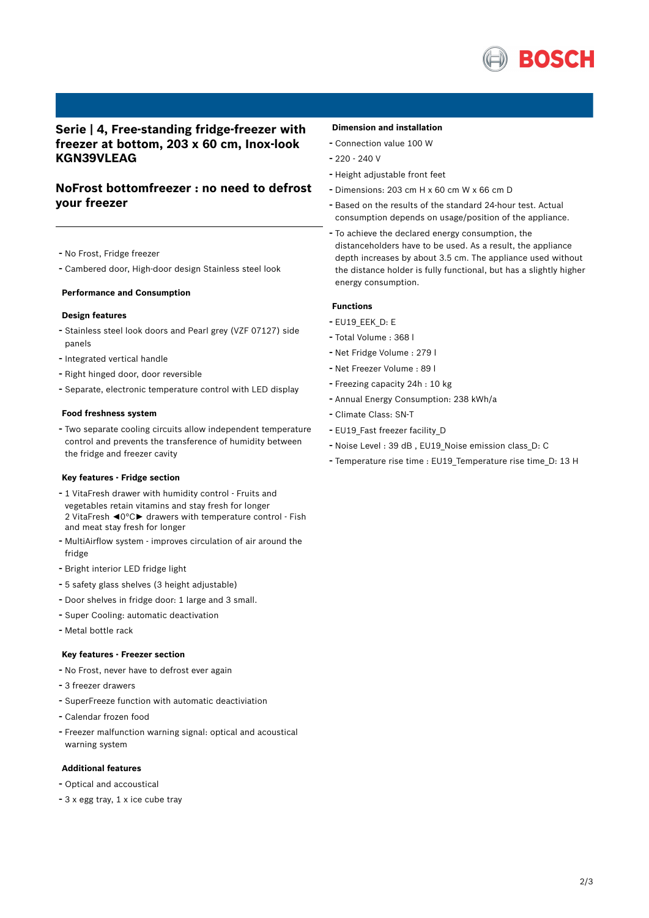

## **Serie | 4, Free-standing fridge-freezer with freezer at bottom, 203 x 60 cm, Inox-look KGN39VLEAG**

## **NoFrost bottomfreezer : no need to defrost your freezer**

- No Frost, Fridge freezer
- Cambered door, High-door design Stainless steel look

#### **Performance and Consumption**

### **Design features**

- Stainless steel look doors and Pearl grey (VZF 07127) side panels
- Integrated vertical handle
- Right hinged door, door reversible
- Separate, electronic temperature control with LED display

#### **Food freshness system**

- Two separate cooling circuits allow independent temperature control and prevents the transference of humidity between the fridge and freezer cavity

#### **Key features - Fridge section**

- <sup>1</sup> VitaFresh drawer with humidity control Fruits and vegetables retain vitamins and stay fresh for longer 2 VitaFresh ◄0°C► drawers with temperature control - Fish and meat stay fresh for longer
- MultiAirflow system improves circulation of air around the fridge
- Bright interior LED fridge light
- <sup>5</sup> safety glass shelves (3 height adjustable)
- Door shelves in fridge door: <sup>1</sup> large and <sup>3</sup> small.
- Super Cooling: automatic deactivation
- Metal bottle rack

#### **Key features - Freezer section**

- No Frost, never have to defrost ever again
- <sup>3</sup> freezer drawers
- SuperFreeze function with automatic deactiviation
- Calendar frozen food
- Freezer malfunction warning signal: optical and acoustical warning system

### **Additional features**

- Optical and accoustical
- <sup>3</sup> <sup>x</sup> egg tray, <sup>1</sup> <sup>x</sup> ice cube tray

### **Dimension and installation**

- Connection value <sup>100</sup> <sup>W</sup>
- $-220 240$  V
- Height adjustable front feet
- Dimensions: 203 cm H x 60 cm W x 66 cm D
- Based on the results of the standard 24-hour test. Actual consumption depends on usage/position of the appliance.
- To achieve the declared energy consumption, the distanceholders have to be used. As a result, the appliance depth increases by about 3.5 cm. The appliance used without the distance holder is fully functional, but has a slightly higher energy consumption.

### **Functions**

- EU19\_EEK\_D: E
- Total Volume : <sup>368</sup> <sup>l</sup>
- Net Fridge Volume : <sup>279</sup> <sup>l</sup>
- Net Freezer Volume : <sup>89</sup> <sup>l</sup>
- Freezing capacity 24h : <sup>10</sup> kg
- Annual Energy Consumption: <sup>238</sup> kWh/a
- Climate Class: SN-T
- EU19\_Fast freezer facility\_D
- Noise Level : <sup>39</sup> dB , EU19\_Noise emission class\_D: <sup>C</sup>
- Temperature rise time : EU19\_Temperature rise time\_D: <sup>13</sup> <sup>H</sup>